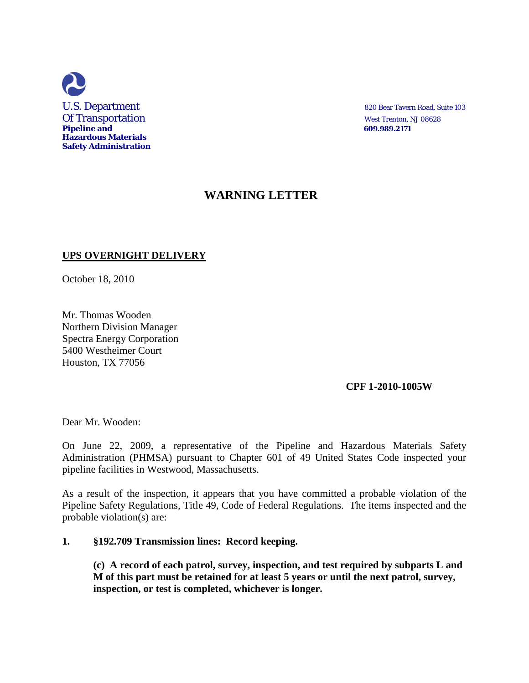

## **WARNING LETTER**

## **UPS OVERNIGHT DELIVERY**

October 18, 2010

Mr. Thomas Wooden Northern Division Manager Spectra Energy Corporation 5400 Westheimer Court Houston, TX 77056

## **CPF 1-2010-1005W**

Dear Mr. Wooden:

On June 22, 2009, a representative of the Pipeline and Hazardous Materials Safety Administration (PHMSA) pursuant to Chapter 601 of 49 United States Code inspected your pipeline facilities in Westwood, Massachusetts.

As a result of the inspection, it appears that you have committed a probable violation of the Pipeline Safety Regulations, Title 49, Code of Federal Regulations. The items inspected and the probable violation(s) are:

## **1. §192.709 Transmission lines: Record keeping.**

**(c) A record of each patrol, survey, inspection, and test required by subparts L and M of this part must be retained for at least 5 years or until the next patrol, survey, inspection, or test is completed, whichever is longer.**